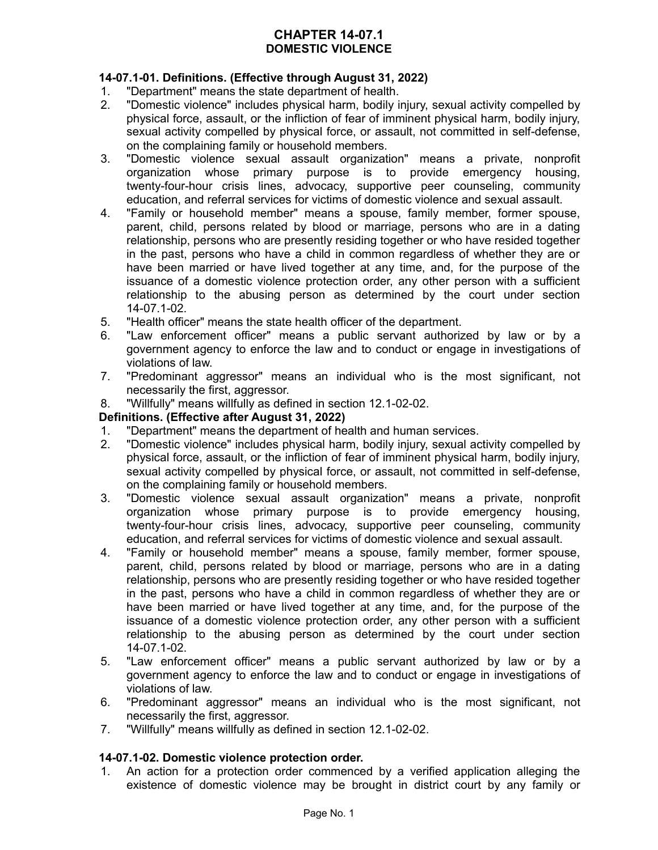# **CHAPTER 14-07.1 DOMESTIC VIOLENCE**

# **14-07.1-01. Definitions. (Effective through August 31, 2022)**

- 1. "Department" means the state department of health.
- 2. "Domestic violence" includes physical harm, bodily injury, sexual activity compelled by physical force, assault, or the infliction of fear of imminent physical harm, bodily injury, sexual activity compelled by physical force, or assault, not committed in self-defense, on the complaining family or household members.
- 3. "Domestic violence sexual assault organization" means a private, nonprofit organization whose primary purpose is to provide emergency housing, twenty-four-hour crisis lines, advocacy, supportive peer counseling, community education, and referral services for victims of domestic violence and sexual assault.
- 4. "Family or household member" means a spouse, family member, former spouse, parent, child, persons related by blood or marriage, persons who are in a dating relationship, persons who are presently residing together or who have resided together in the past, persons who have a child in common regardless of whether they are or have been married or have lived together at any time, and, for the purpose of the issuance of a domestic violence protection order, any other person with a sufficient relationship to the abusing person as determined by the court under section 14-07.1-02.
- 5. "Health officer" means the state health officer of the department.
- 6. "Law enforcement officer" means a public servant authorized by law or by a government agency to enforce the law and to conduct or engage in investigations of violations of law.
- 7. "Predominant aggressor" means an individual who is the most significant, not necessarily the first, aggressor.
- 8. "Willfully" means willfully as defined in section 12.1-02-02.

# **Definitions. (Effective after August 31, 2022)**

- 1. "Department" means the department of health and human services.
- 2. "Domestic violence" includes physical harm, bodily injury, sexual activity compelled by physical force, assault, or the infliction of fear of imminent physical harm, bodily injury, sexual activity compelled by physical force, or assault, not committed in self-defense, on the complaining family or household members.
- 3. "Domestic violence sexual assault organization" means a private, nonprofit organization whose primary purpose is to provide emergency housing, twenty-four-hour crisis lines, advocacy, supportive peer counseling, community education, and referral services for victims of domestic violence and sexual assault.
- 4. "Family or household member" means a spouse, family member, former spouse, parent, child, persons related by blood or marriage, persons who are in a dating relationship, persons who are presently residing together or who have resided together in the past, persons who have a child in common regardless of whether they are or have been married or have lived together at any time, and, for the purpose of the issuance of a domestic violence protection order, any other person with a sufficient relationship to the abusing person as determined by the court under section 14-07.1-02.
- 5. "Law enforcement officer" means a public servant authorized by law or by a government agency to enforce the law and to conduct or engage in investigations of violations of law.
- 6. "Predominant aggressor" means an individual who is the most significant, not necessarily the first, aggressor.
- 7. "Willfully" means willfully as defined in section 12.1-02-02.

# **14-07.1-02. Domestic violence protection order.**

1. An action for a protection order commenced by a verified application alleging the existence of domestic violence may be brought in district court by any family or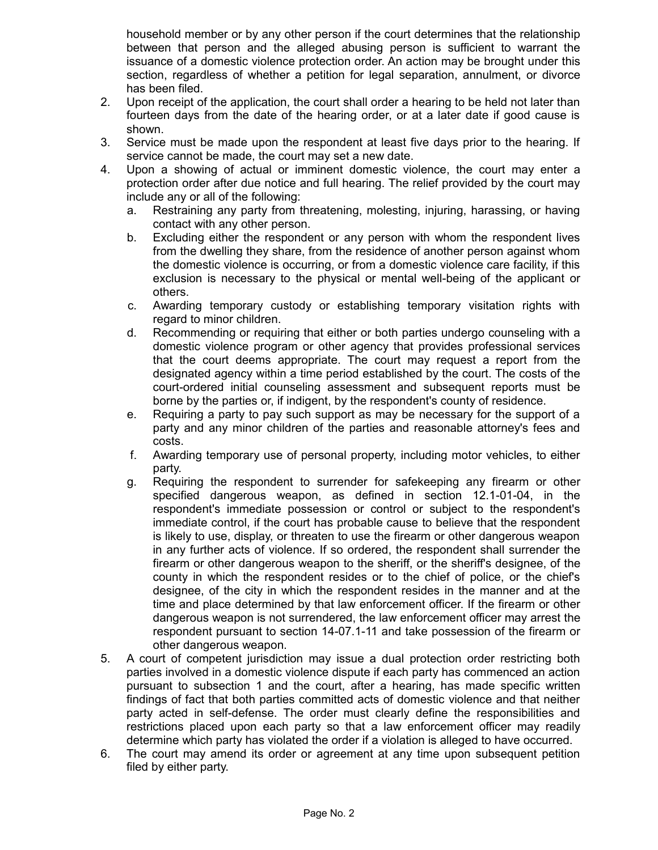household member or by any other person if the court determines that the relationship between that person and the alleged abusing person is sufficient to warrant the issuance of a domestic violence protection order. An action may be brought under this section, regardless of whether a petition for legal separation, annulment, or divorce has been filed.

- 2. Upon receipt of the application, the court shall order a hearing to be held not later than fourteen days from the date of the hearing order, or at a later date if good cause is shown.
- 3. Service must be made upon the respondent at least five days prior to the hearing. If service cannot be made, the court may set a new date.
- 4. Upon a showing of actual or imminent domestic violence, the court may enter a protection order after due notice and full hearing. The relief provided by the court may include any or all of the following:
	- a. Restraining any party from threatening, molesting, injuring, harassing, or having contact with any other person.
	- b. Excluding either the respondent or any person with whom the respondent lives from the dwelling they share, from the residence of another person against whom the domestic violence is occurring, or from a domestic violence care facility, if this exclusion is necessary to the physical or mental well-being of the applicant or others.
	- c. Awarding temporary custody or establishing temporary visitation rights with regard to minor children.
	- d. Recommending or requiring that either or both parties undergo counseling with a domestic violence program or other agency that provides professional services that the court deems appropriate. The court may request a report from the designated agency within a time period established by the court. The costs of the court-ordered initial counseling assessment and subsequent reports must be borne by the parties or, if indigent, by the respondent's county of residence.
	- e. Requiring a party to pay such support as may be necessary for the support of a party and any minor children of the parties and reasonable attorney's fees and costs.
	- f. Awarding temporary use of personal property, including motor vehicles, to either party.
	- g. Requiring the respondent to surrender for safekeeping any firearm or other specified dangerous weapon, as defined in section 12.1-01-04, in the respondent's immediate possession or control or subject to the respondent's immediate control, if the court has probable cause to believe that the respondent is likely to use, display, or threaten to use the firearm or other dangerous weapon in any further acts of violence. If so ordered, the respondent shall surrender the firearm or other dangerous weapon to the sheriff, or the sheriff's designee, of the county in which the respondent resides or to the chief of police, or the chief's designee, of the city in which the respondent resides in the manner and at the time and place determined by that law enforcement officer. If the firearm or other dangerous weapon is not surrendered, the law enforcement officer may arrest the respondent pursuant to section 14-07.1-11 and take possession of the firearm or other dangerous weapon.
- 5. A court of competent jurisdiction may issue a dual protection order restricting both parties involved in a domestic violence dispute if each party has commenced an action pursuant to subsection 1 and the court, after a hearing, has made specific written findings of fact that both parties committed acts of domestic violence and that neither party acted in self-defense. The order must clearly define the responsibilities and restrictions placed upon each party so that a law enforcement officer may readily determine which party has violated the order if a violation is alleged to have occurred.
- 6. The court may amend its order or agreement at any time upon subsequent petition filed by either party.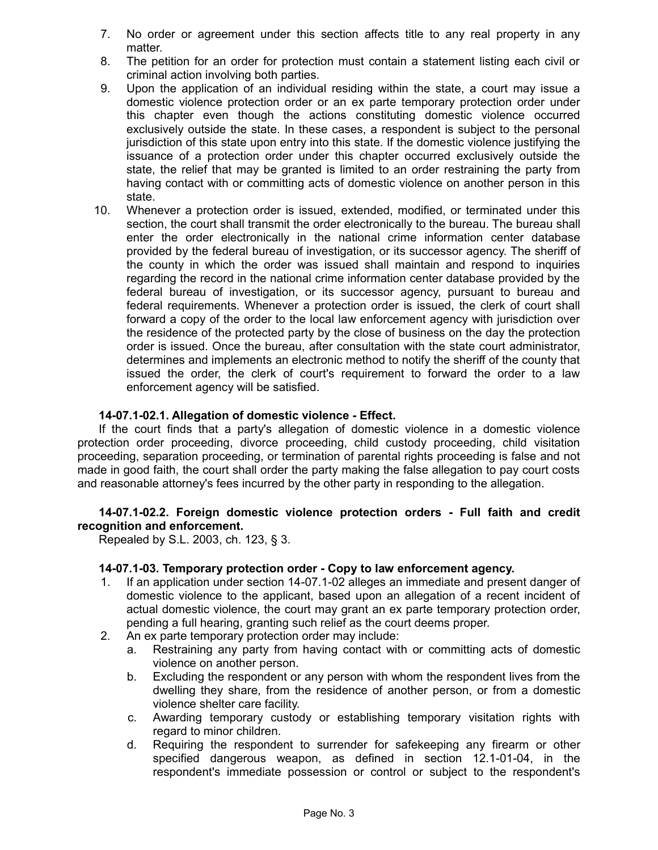- 7. No order or agreement under this section affects title to any real property in any matter.
- 8. The petition for an order for protection must contain a statement listing each civil or criminal action involving both parties.
- 9. Upon the application of an individual residing within the state, a court may issue a domestic violence protection order or an ex parte temporary protection order under this chapter even though the actions constituting domestic violence occurred exclusively outside the state. In these cases, a respondent is subject to the personal jurisdiction of this state upon entry into this state. If the domestic violence justifying the issuance of a protection order under this chapter occurred exclusively outside the state, the relief that may be granted is limited to an order restraining the party from having contact with or committing acts of domestic violence on another person in this state.
- 10. Whenever a protection order is issued, extended, modified, or terminated under this section, the court shall transmit the order electronically to the bureau. The bureau shall enter the order electronically in the national crime information center database provided by the federal bureau of investigation, or its successor agency. The sheriff of the county in which the order was issued shall maintain and respond to inquiries regarding the record in the national crime information center database provided by the federal bureau of investigation, or its successor agency, pursuant to bureau and federal requirements. Whenever a protection order is issued, the clerk of court shall forward a copy of the order to the local law enforcement agency with jurisdiction over the residence of the protected party by the close of business on the day the protection order is issued. Once the bureau, after consultation with the state court administrator, determines and implements an electronic method to notify the sheriff of the county that issued the order, the clerk of court's requirement to forward the order to a law enforcement agency will be satisfied.

## **14-07.1-02.1. Allegation of domestic violence - Effect.**

If the court finds that a party's allegation of domestic violence in a domestic violence protection order proceeding, divorce proceeding, child custody proceeding, child visitation proceeding, separation proceeding, or termination of parental rights proceeding is false and not made in good faith, the court shall order the party making the false allegation to pay court costs and reasonable attorney's fees incurred by the other party in responding to the allegation.

## **14-07.1-02.2. Foreign domestic violence protection orders - Full faith and credit recognition and enforcement.**

Repealed by S.L. 2003, ch. 123, § 3.

#### **14-07.1-03. Temporary protection order - Copy to law enforcement agency.**

- 1. If an application under section 14-07.1-02 alleges an immediate and present danger of domestic violence to the applicant, based upon an allegation of a recent incident of actual domestic violence, the court may grant an ex parte temporary protection order, pending a full hearing, granting such relief as the court deems proper.
- 2. An ex parte temporary protection order may include:
	- a. Restraining any party from having contact with or committing acts of domestic violence on another person.
	- b. Excluding the respondent or any person with whom the respondent lives from the dwelling they share, from the residence of another person, or from a domestic violence shelter care facility.
	- c. Awarding temporary custody or establishing temporary visitation rights with regard to minor children.
	- d. Requiring the respondent to surrender for safekeeping any firearm or other specified dangerous weapon, as defined in section 12.1-01-04, in the respondent's immediate possession or control or subject to the respondent's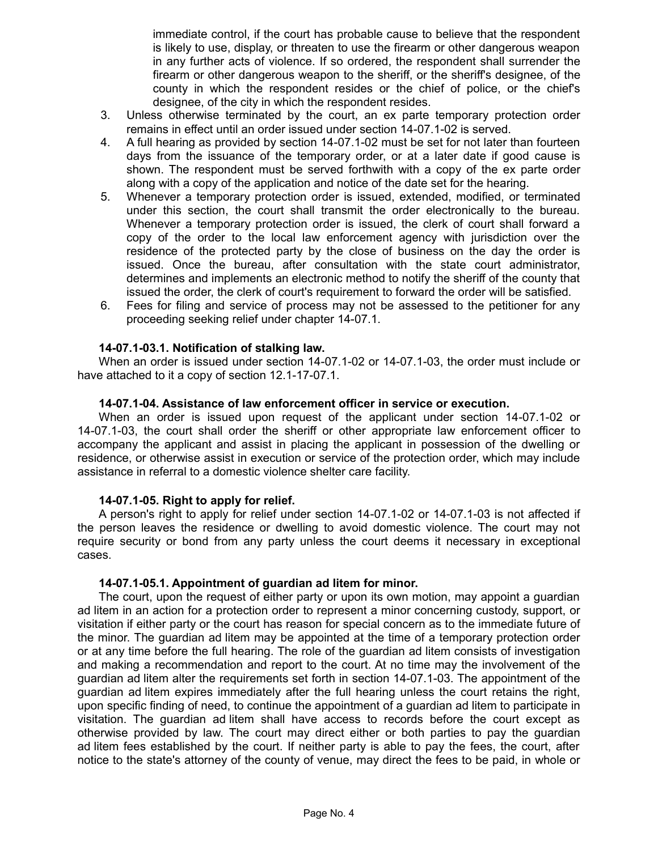immediate control, if the court has probable cause to believe that the respondent is likely to use, display, or threaten to use the firearm or other dangerous weapon in any further acts of violence. If so ordered, the respondent shall surrender the firearm or other dangerous weapon to the sheriff, or the sheriff's designee, of the county in which the respondent resides or the chief of police, or the chief's designee, of the city in which the respondent resides.

- 3. Unless otherwise terminated by the court, an ex parte temporary protection order remains in effect until an order issued under section 14-07.1-02 is served.
- 4. A full hearing as provided by section 14-07.1-02 must be set for not later than fourteen days from the issuance of the temporary order, or at a later date if good cause is shown. The respondent must be served forthwith with a copy of the ex parte order along with a copy of the application and notice of the date set for the hearing.
- 5. Whenever a temporary protection order is issued, extended, modified, or terminated under this section, the court shall transmit the order electronically to the bureau. Whenever a temporary protection order is issued, the clerk of court shall forward a copy of the order to the local law enforcement agency with jurisdiction over the residence of the protected party by the close of business on the day the order is issued. Once the bureau, after consultation with the state court administrator, determines and implements an electronic method to notify the sheriff of the county that issued the order, the clerk of court's requirement to forward the order will be satisfied.
- 6. Fees for filing and service of process may not be assessed to the petitioner for any proceeding seeking relief under chapter 14-07.1.

#### **14-07.1-03.1. Notification of stalking law.**

When an order is issued under section 14-07.1-02 or 14-07.1-03, the order must include or have attached to it a copy of section 12.1-17-07.1.

#### **14-07.1-04. Assistance of law enforcement officer in service or execution.**

When an order is issued upon request of the applicant under section 14-07.1-02 or 14-07.1-03, the court shall order the sheriff or other appropriate law enforcement officer to accompany the applicant and assist in placing the applicant in possession of the dwelling or residence, or otherwise assist in execution or service of the protection order, which may include assistance in referral to a domestic violence shelter care facility.

#### **14-07.1-05. Right to apply for relief.**

A person's right to apply for relief under section 14-07.1-02 or 14-07.1-03 is not affected if the person leaves the residence or dwelling to avoid domestic violence. The court may not require security or bond from any party unless the court deems it necessary in exceptional cases.

#### **14-07.1-05.1. Appointment of guardian ad litem for minor.**

The court, upon the request of either party or upon its own motion, may appoint a guardian ad litem in an action for a protection order to represent a minor concerning custody, support, or visitation if either party or the court has reason for special concern as to the immediate future of the minor. The guardian ad litem may be appointed at the time of a temporary protection order or at any time before the full hearing. The role of the guardian ad litem consists of investigation and making a recommendation and report to the court. At no time may the involvement of the guardian ad litem alter the requirements set forth in section 14-07.1-03. The appointment of the guardian ad litem expires immediately after the full hearing unless the court retains the right, upon specific finding of need, to continue the appointment of a guardian ad litem to participate in visitation. The guardian ad litem shall have access to records before the court except as otherwise provided by law. The court may direct either or both parties to pay the guardian ad litem fees established by the court. If neither party is able to pay the fees, the court, after notice to the state's attorney of the county of venue, may direct the fees to be paid, in whole or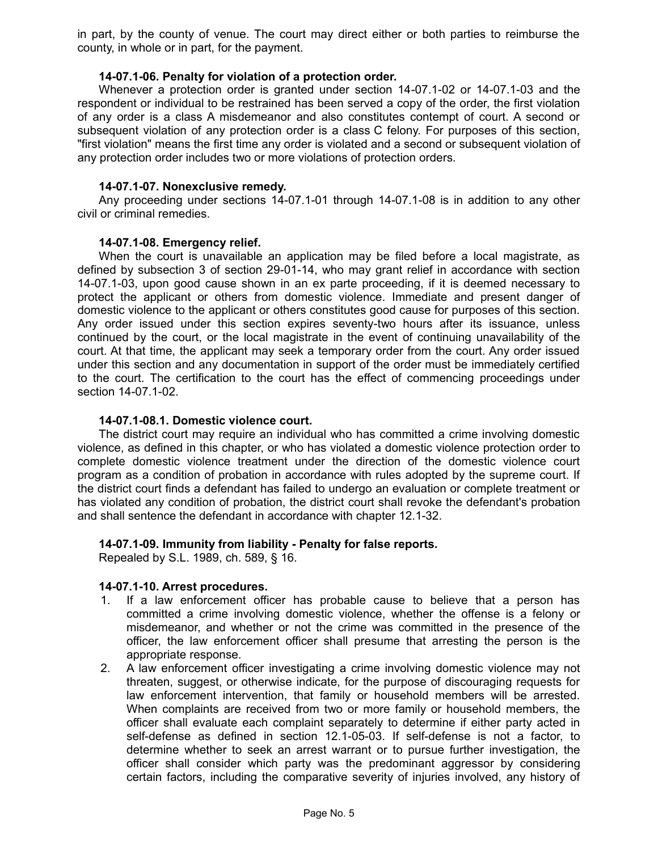in part, by the county of venue. The court may direct either or both parties to reimburse the county, in whole or in part, for the payment.

#### **14-07.1-06. Penalty for violation of a protection order.**

Whenever a protection order is granted under section 14-07.1-02 or 14-07.1-03 and the respondent or individual to be restrained has been served a copy of the order, the first violation of any order is a class A misdemeanor and also constitutes contempt of court. A second or subsequent violation of any protection order is a class C felony. For purposes of this section, "first violation" means the first time any order is violated and a second or subsequent violation of any protection order includes two or more violations of protection orders.

#### **14-07.1-07. Nonexclusive remedy.**

Any proceeding under sections 14-07.1-01 through 14-07.1-08 is in addition to any other civil or criminal remedies.

#### **14-07.1-08. Emergency relief.**

When the court is unavailable an application may be filed before a local magistrate, as defined by subsection 3 of section 29-01-14, who may grant relief in accordance with section 14-07.1-03, upon good cause shown in an ex parte proceeding, if it is deemed necessary to protect the applicant or others from domestic violence. Immediate and present danger of domestic violence to the applicant or others constitutes good cause for purposes of this section. Any order issued under this section expires seventy-two hours after its issuance, unless continued by the court, or the local magistrate in the event of continuing unavailability of the court. At that time, the applicant may seek a temporary order from the court. Any order issued under this section and any documentation in support of the order must be immediately certified to the court. The certification to the court has the effect of commencing proceedings under section 14-07.1-02.

#### **14-07.1-08.1. Domestic violence court.**

The district court may require an individual who has committed a crime involving domestic violence, as defined in this chapter, or who has violated a domestic violence protection order to complete domestic violence treatment under the direction of the domestic violence court program as a condition of probation in accordance with rules adopted by the supreme court. If the district court finds a defendant has failed to undergo an evaluation or complete treatment or has violated any condition of probation, the district court shall revoke the defendant's probation and shall sentence the defendant in accordance with chapter 12.1-32.

#### **14-07.1-09. Immunity from liability - Penalty for false reports.**

Repealed by S.L. 1989, ch. 589, § 16.

#### **14-07.1-10. Arrest procedures.**

- 1. If a law enforcement officer has probable cause to believe that a person has committed a crime involving domestic violence, whether the offense is a felony or misdemeanor, and whether or not the crime was committed in the presence of the officer, the law enforcement officer shall presume that arresting the person is the appropriate response.
- 2. A law enforcement officer investigating a crime involving domestic violence may not threaten, suggest, or otherwise indicate, for the purpose of discouraging requests for law enforcement intervention, that family or household members will be arrested. When complaints are received from two or more family or household members, the officer shall evaluate each complaint separately to determine if either party acted in self-defense as defined in section 12.1-05-03. If self-defense is not a factor, to determine whether to seek an arrest warrant or to pursue further investigation, the officer shall consider which party was the predominant aggressor by considering certain factors, including the comparative severity of injuries involved, any history of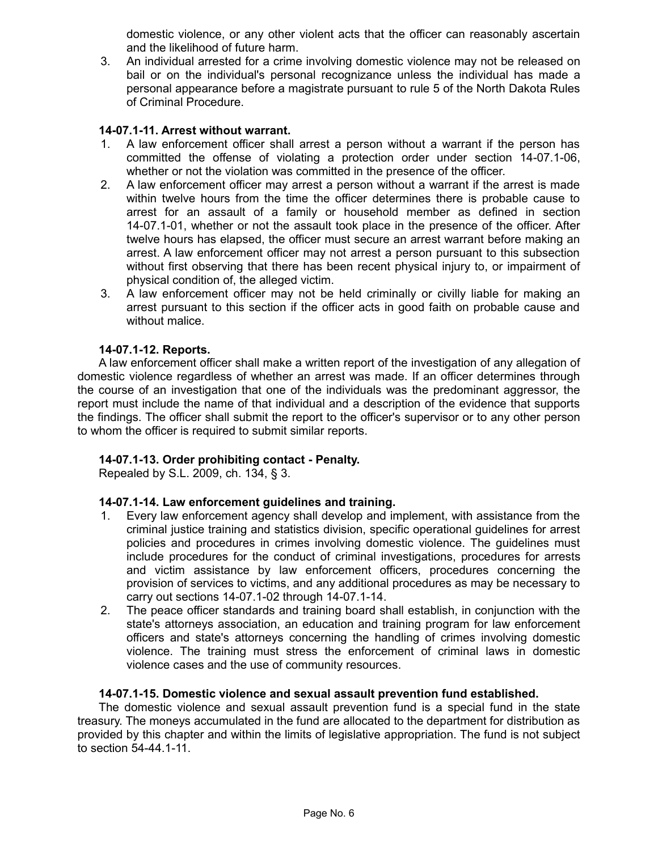domestic violence, or any other violent acts that the officer can reasonably ascertain and the likelihood of future harm.

3. An individual arrested for a crime involving domestic violence may not be released on bail or on the individual's personal recognizance unless the individual has made a personal appearance before a magistrate pursuant to rule 5 of the North Dakota Rules of Criminal Procedure.

# **14-07.1-11. Arrest without warrant.**

- 1. A law enforcement officer shall arrest a person without a warrant if the person has committed the offense of violating a protection order under section 14-07.1-06, whether or not the violation was committed in the presence of the officer.
- 2. A law enforcement officer may arrest a person without a warrant if the arrest is made within twelve hours from the time the officer determines there is probable cause to arrest for an assault of a family or household member as defined in section 14-07.1-01, whether or not the assault took place in the presence of the officer. After twelve hours has elapsed, the officer must secure an arrest warrant before making an arrest. A law enforcement officer may not arrest a person pursuant to this subsection without first observing that there has been recent physical injury to, or impairment of physical condition of, the alleged victim.
- 3. A law enforcement officer may not be held criminally or civilly liable for making an arrest pursuant to this section if the officer acts in good faith on probable cause and without malice.

## **14-07.1-12. Reports.**

A law enforcement officer shall make a written report of the investigation of any allegation of domestic violence regardless of whether an arrest was made. If an officer determines through the course of an investigation that one of the individuals was the predominant aggressor, the report must include the name of that individual and a description of the evidence that supports the findings. The officer shall submit the report to the officer's supervisor or to any other person to whom the officer is required to submit similar reports.

#### **14-07.1-13. Order prohibiting contact - Penalty.**

Repealed by S.L. 2009, ch. 134, § 3.

#### **14-07.1-14. Law enforcement guidelines and training.**

- 1. Every law enforcement agency shall develop and implement, with assistance from the criminal justice training and statistics division, specific operational guidelines for arrest policies and procedures in crimes involving domestic violence. The guidelines must include procedures for the conduct of criminal investigations, procedures for arrests and victim assistance by law enforcement officers, procedures concerning the provision of services to victims, and any additional procedures as may be necessary to carry out sections 14-07.1-02 through 14-07.1-14.
- 2. The peace officer standards and training board shall establish, in conjunction with the state's attorneys association, an education and training program for law enforcement officers and state's attorneys concerning the handling of crimes involving domestic violence. The training must stress the enforcement of criminal laws in domestic violence cases and the use of community resources.

#### **14-07.1-15. Domestic violence and sexual assault prevention fund established.**

The domestic violence and sexual assault prevention fund is a special fund in the state treasury. The moneys accumulated in the fund are allocated to the department for distribution as provided by this chapter and within the limits of legislative appropriation. The fund is not subject to section 54-44.1-11.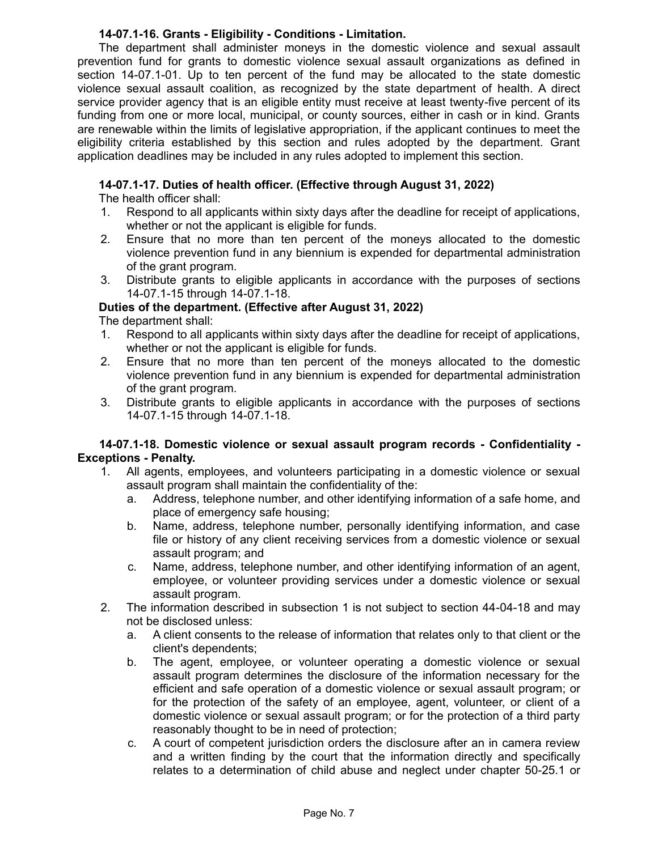# **14-07.1-16. Grants - Eligibility - Conditions - Limitation.**

The department shall administer moneys in the domestic violence and sexual assault prevention fund for grants to domestic violence sexual assault organizations as defined in section 14-07.1-01. Up to ten percent of the fund may be allocated to the state domestic violence sexual assault coalition, as recognized by the state department of health. A direct service provider agency that is an eligible entity must receive at least twenty-five percent of its funding from one or more local, municipal, or county sources, either in cash or in kind. Grants are renewable within the limits of legislative appropriation, if the applicant continues to meet the eligibility criteria established by this section and rules adopted by the department. Grant application deadlines may be included in any rules adopted to implement this section.

# **14-07.1-17. Duties of health officer. (Effective through August 31, 2022)**

The health officer shall:

- 1. Respond to all applicants within sixty days after the deadline for receipt of applications, whether or not the applicant is eligible for funds.
- 2. Ensure that no more than ten percent of the moneys allocated to the domestic violence prevention fund in any biennium is expended for departmental administration of the grant program.
- 3. Distribute grants to eligible applicants in accordance with the purposes of sections 14-07.1-15 through 14-07.1-18.

# **Duties of the department. (Effective after August 31, 2022)**

The department shall:

- 1. Respond to all applicants within sixty days after the deadline for receipt of applications, whether or not the applicant is eligible for funds.
- 2. Ensure that no more than ten percent of the moneys allocated to the domestic violence prevention fund in any biennium is expended for departmental administration of the grant program.
- 3. Distribute grants to eligible applicants in accordance with the purposes of sections 14-07.1-15 through 14-07.1-18.

## **14-07.1-18. Domestic violence or sexual assault program records - Confidentiality - Exceptions - Penalty.**

- 1. All agents, employees, and volunteers participating in a domestic violence or sexual assault program shall maintain the confidentiality of the:
	- a. Address, telephone number, and other identifying information of a safe home, and place of emergency safe housing;
	- b. Name, address, telephone number, personally identifying information, and case file or history of any client receiving services from a domestic violence or sexual assault program; and
	- c. Name, address, telephone number, and other identifying information of an agent, employee, or volunteer providing services under a domestic violence or sexual assault program.
- 2. The information described in subsection 1 is not subject to section 44-04-18 and may not be disclosed unless:
	- a. A client consents to the release of information that relates only to that client or the client's dependents;
	- b. The agent, employee, or volunteer operating a domestic violence or sexual assault program determines the disclosure of the information necessary for the efficient and safe operation of a domestic violence or sexual assault program; or for the protection of the safety of an employee, agent, volunteer, or client of a domestic violence or sexual assault program; or for the protection of a third party reasonably thought to be in need of protection;
	- c. A court of competent jurisdiction orders the disclosure after an in camera review and a written finding by the court that the information directly and specifically relates to a determination of child abuse and neglect under chapter 50-25.1 or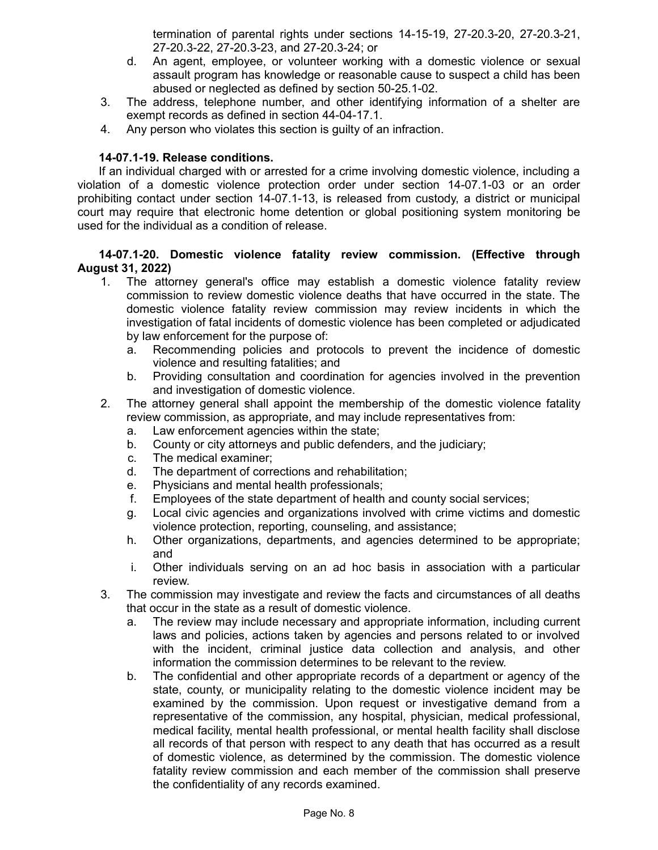termination of parental rights under sections 14-15-19, 27-20.3-20, 27-20.3-21, 27-20.3-22, 27-20.3-23, and 27-20.3-24; or

- d. An agent, employee, or volunteer working with a domestic violence or sexual assault program has knowledge or reasonable cause to suspect a child has been abused or neglected as defined by section 50-25.1-02.
- 3. The address, telephone number, and other identifying information of a shelter are exempt records as defined in section 44-04-17.1.
- 4. Any person who violates this section is guilty of an infraction.

## **14-07.1-19. Release conditions.**

If an individual charged with or arrested for a crime involving domestic violence, including a violation of a domestic violence protection order under section 14-07.1-03 or an order prohibiting contact under section 14-07.1-13, is released from custody, a district or municipal court may require that electronic home detention or global positioning system monitoring be used for the individual as a condition of release.

## **14-07.1-20. Domestic violence fatality review commission. (Effective through August 31, 2022)**

- 1. The attorney general's office may establish a domestic violence fatality review commission to review domestic violence deaths that have occurred in the state. The domestic violence fatality review commission may review incidents in which the investigation of fatal incidents of domestic violence has been completed or adjudicated by law enforcement for the purpose of:
	- a. Recommending policies and protocols to prevent the incidence of domestic violence and resulting fatalities; and
	- b. Providing consultation and coordination for agencies involved in the prevention and investigation of domestic violence.
- 2. The attorney general shall appoint the membership of the domestic violence fatality review commission, as appropriate, and may include representatives from:
	- a. Law enforcement agencies within the state;
	- b. County or city attorneys and public defenders, and the judiciary;
	- c. The medical examiner;
	- d. The department of corrections and rehabilitation;
	- e. Physicians and mental health professionals;
	- f. Employees of the state department of health and county social services;
	- g. Local civic agencies and organizations involved with crime victims and domestic violence protection, reporting, counseling, and assistance;
	- h. Other organizations, departments, and agencies determined to be appropriate; and
	- i. Other individuals serving on an ad hoc basis in association with a particular review.
- 3. The commission may investigate and review the facts and circumstances of all deaths that occur in the state as a result of domestic violence.
	- a. The review may include necessary and appropriate information, including current laws and policies, actions taken by agencies and persons related to or involved with the incident, criminal justice data collection and analysis, and other information the commission determines to be relevant to the review.
	- b. The confidential and other appropriate records of a department or agency of the state, county, or municipality relating to the domestic violence incident may be examined by the commission. Upon request or investigative demand from a representative of the commission, any hospital, physician, medical professional, medical facility, mental health professional, or mental health facility shall disclose all records of that person with respect to any death that has occurred as a result of domestic violence, as determined by the commission. The domestic violence fatality review commission and each member of the commission shall preserve the confidentiality of any records examined.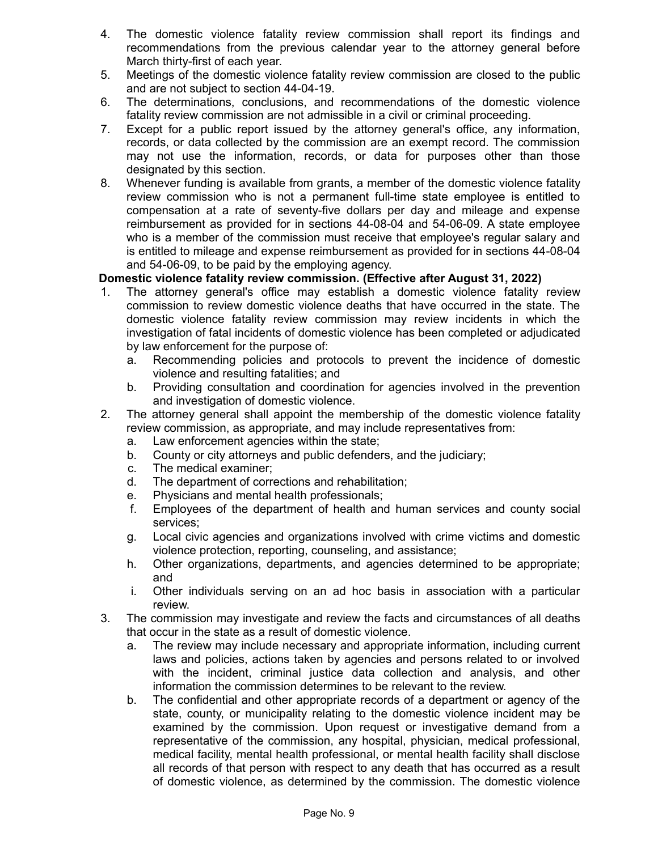- 4. The domestic violence fatality review commission shall report its findings and recommendations from the previous calendar year to the attorney general before March thirty-first of each year.
- 5. Meetings of the domestic violence fatality review commission are closed to the public and are not subject to section 44-04-19.
- 6. The determinations, conclusions, and recommendations of the domestic violence fatality review commission are not admissible in a civil or criminal proceeding.
- 7. Except for a public report issued by the attorney general's office, any information, records, or data collected by the commission are an exempt record. The commission may not use the information, records, or data for purposes other than those designated by this section.
- 8. Whenever funding is available from grants, a member of the domestic violence fatality review commission who is not a permanent full-time state employee is entitled to compensation at a rate of seventy-five dollars per day and mileage and expense reimbursement as provided for in sections 44-08-04 and 54-06-09. A state employee who is a member of the commission must receive that employee's regular salary and is entitled to mileage and expense reimbursement as provided for in sections 44-08-04 and 54-06-09, to be paid by the employing agency.

# **Domestic violence fatality review commission. (Effective after August 31, 2022)**

- 1. The attorney general's office may establish a domestic violence fatality review commission to review domestic violence deaths that have occurred in the state. The domestic violence fatality review commission may review incidents in which the investigation of fatal incidents of domestic violence has been completed or adjudicated by law enforcement for the purpose of:
	- a. Recommending policies and protocols to prevent the incidence of domestic violence and resulting fatalities; and
	- b. Providing consultation and coordination for agencies involved in the prevention and investigation of domestic violence.
- 2. The attorney general shall appoint the membership of the domestic violence fatality review commission, as appropriate, and may include representatives from:
	- a. Law enforcement agencies within the state;
	- b. County or city attorneys and public defenders, and the judiciary;
	- c. The medical examiner;
	- d. The department of corrections and rehabilitation;
	- e. Physicians and mental health professionals;
	- f. Employees of the department of health and human services and county social services;
	- g. Local civic agencies and organizations involved with crime victims and domestic violence protection, reporting, counseling, and assistance;
	- h. Other organizations, departments, and agencies determined to be appropriate; and
	- i. Other individuals serving on an ad hoc basis in association with a particular review.
- 3. The commission may investigate and review the facts and circumstances of all deaths that occur in the state as a result of domestic violence.
	- a. The review may include necessary and appropriate information, including current laws and policies, actions taken by agencies and persons related to or involved with the incident, criminal justice data collection and analysis, and other information the commission determines to be relevant to the review.
	- b. The confidential and other appropriate records of a department or agency of the state, county, or municipality relating to the domestic violence incident may be examined by the commission. Upon request or investigative demand from a representative of the commission, any hospital, physician, medical professional, medical facility, mental health professional, or mental health facility shall disclose all records of that person with respect to any death that has occurred as a result of domestic violence, as determined by the commission. The domestic violence